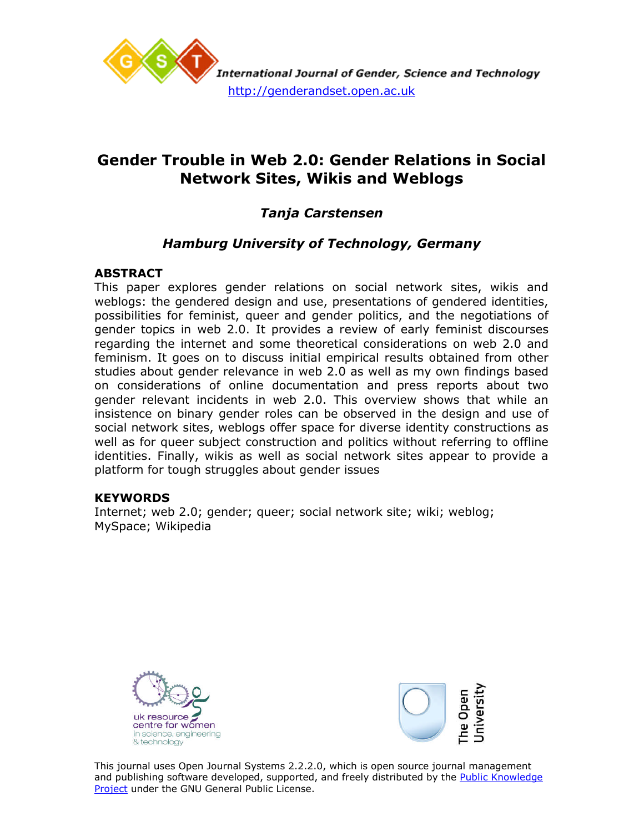

# **Gender Trouble in Web 2.0: Gender Relations in Social Network Sites, Wikis and Weblogs**

# *Tanja Carstensen*

# *Hamburg University of Technology, Germany*

# **ABSTRACT**

This paper explores gender relations on social network sites, wikis and weblogs: the gendered design and use, presentations of gendered identities, possibilities for feminist, queer and gender politics, and the negotiations of gender topics in web 2.0. It provides a review of early feminist discourses regarding the internet and some theoretical considerations on web 2.0 and feminism. It goes on to discuss initial empirical results obtained from other studies about gender relevance in web 2.0 as well as my own findings based on considerations of online documentation and press reports about two gender relevant incidents in web 2.0. This overview shows that while an insistence on binary gender roles can be observed in the design and use of social network sites, weblogs offer space for diverse identity constructions as well as for queer subject construction and politics without referring to offline identities. Finally, wikis as well as social network sites appear to provide a platform for tough struggles about gender issues

## **KEYWORDS**

Internet; web 2.0; gender; queer; social network site; wiki; weblog; MySpace; Wikipedia





This journal uses Open Journal Systems 2.2.2.0, which is open source journal management and publishing software developed, supported, and freely distributed by the Public Knowledge Project under the GNU General Public License.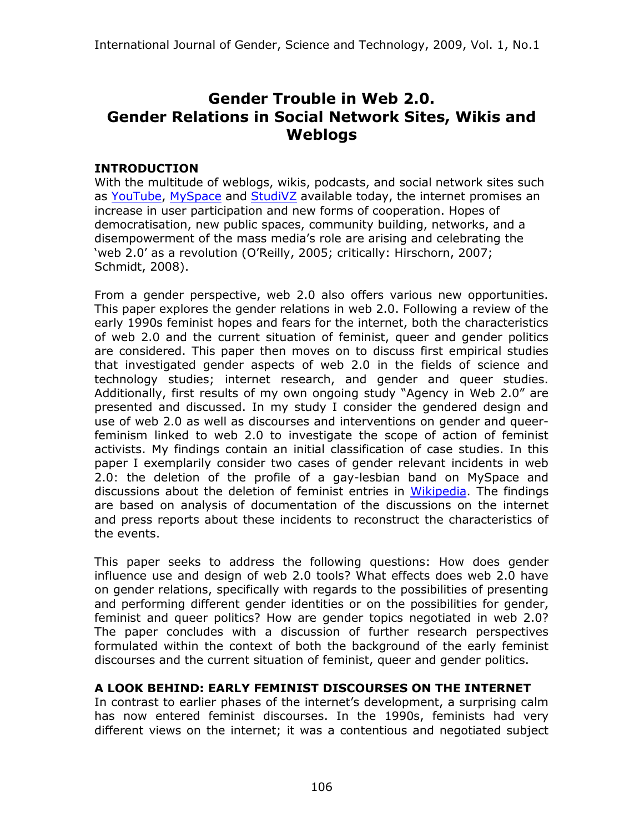# **Gender Trouble in Web 2.0. Gender Relations in Social Network Sites, Wikis and Weblogs**

# **INTRODUCTION**

With the multitude of weblogs, wikis, podcasts, and social network sites such as [YouTube,](http://www.youtube.com/) [MySpace](http://www.myspace.com/) and [StudiVZ](http://www.studivz.net/) available today, the internet promises an increase in user participation and new forms of cooperation. Hopes of democratisation, new public spaces, community building, networks, and a disempowerment of the mass media's role are arising and celebrating the 'web 2.0' as a revolution (O'Reilly, 2005; critically: Hirschorn, 2007; Schmidt, 2008).

From a gender perspective, web 2.0 also offers various new opportunities. This paper explores the gender relations in web 2.0. Following a review of the early 1990s feminist hopes and fears for the internet, both the characteristics of web 2.0 and the current situation of feminist, queer and gender politics are considered. This paper then moves on to discuss first empirical studies that investigated gender aspects of web 2.0 in the fields of science and technology studies; internet research, and gender and queer studies. Additionally, first results of my own ongoing study "Agency in Web 2.0" are presented and discussed. In my study I consider the gendered design and use of web 2.0 as well as discourses and interventions on gender and queerfeminism linked to web 2.0 to investigate the scope of action of feminist activists. My findings contain an initial classification of case studies. In this paper I exemplarily consider two cases of gender relevant incidents in web 2.0: the deletion of the profile of a gay-lesbian band on MySpace and discussions about the deletion of feminist entries in [Wikipedia.](http://en.wikipedia.org/wiki/Main_Page) The findings are based on analysis of documentation of the discussions on the internet and press reports about these incidents to reconstruct the characteristics of the events.

This paper seeks to address the following questions: How does gender influence use and design of web 2.0 tools? What effects does web 2.0 have on gender relations, specifically with regards to the possibilities of presenting and performing different gender identities or on the possibilities for gender, feminist and queer politics? How are gender topics negotiated in web 2.0? The paper concludes with a discussion of further research perspectives formulated within the context of both the background of the early feminist discourses and the current situation of feminist, queer and gender politics.

# **A LOOK BEHIND: EARLY FEMINIST DISCOURSES ON THE INTERNET**

In contrast to earlier phases of the internet's development, a surprising calm has now entered feminist discourses. In the 1990s, feminists had very different views on the internet; it was a contentious and negotiated subject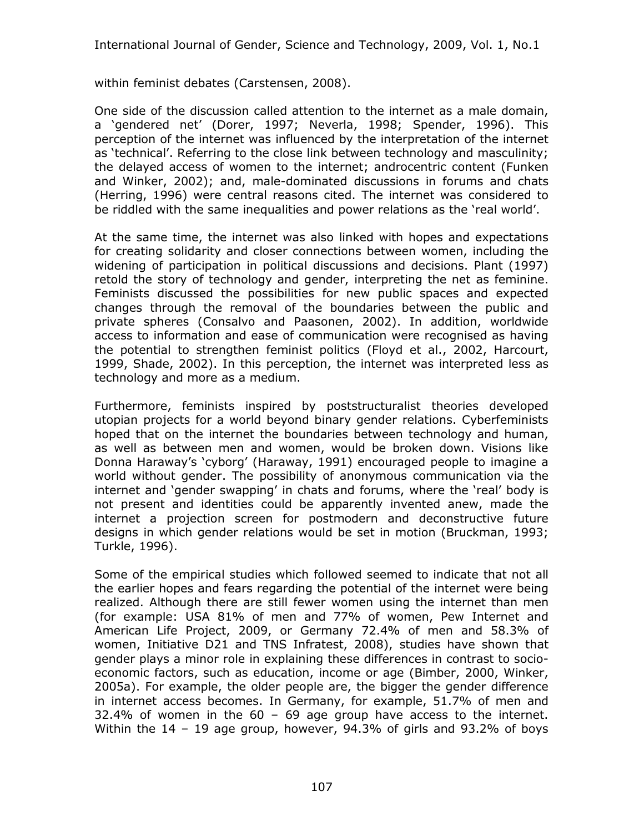within feminist debates (Carstensen, 2008).

One side of the discussion called attention to the internet as a male domain, a 'gendered net' (Dorer, 1997; Neverla, 1998; Spender, 1996). This perception of the internet was influenced by the interpretation of the internet as 'technical'. Referring to the close link between technology and masculinity; the delayed access of women to the internet; androcentric content (Funken and Winker, 2002); and, male-dominated discussions in forums and chats (Herring, 1996) were central reasons cited. The internet was considered to be riddled with the same inequalities and power relations as the 'real world'.

At the same time, the internet was also linked with hopes and expectations for creating solidarity and closer connections between women, including the widening of participation in political discussions and decisions. Plant (1997) retold the story of technology and gender, interpreting the net as feminine. Feminists discussed the possibilities for new public spaces and expected changes through the removal of the boundaries between the public and private spheres (Consalvo and Paasonen, 2002). In addition, worldwide access to information and ease of communication were recognised as having the potential to strengthen feminist politics (Floyd et al., 2002, Harcourt, 1999, Shade, 2002). In this perception, the internet was interpreted less as technology and more as a medium.

Furthermore, feminists inspired by poststructuralist theories developed utopian projects for a world beyond binary gender relations. Cyberfeminists hoped that on the internet the boundaries between technology and human, as well as between men and women, would be broken down. Visions like Donna Haraway's 'cyborg' (Haraway, 1991) encouraged people to imagine a world without gender. The possibility of anonymous communication via the internet and 'gender swapping' in chats and forums, where the 'real' body is not present and identities could be apparently invented anew, made the internet a projection screen for postmodern and deconstructive future designs in which gender relations would be set in motion (Bruckman, 1993; Turkle, 1996).

Some of the empirical studies which followed seemed to indicate that not all the earlier hopes and fears regarding the potential of the internet were being realized. Although there are still fewer women using the internet than men (for example: USA 81% of men and 77% of women, Pew Internet and American Life Project, 2009, or Germany 72.4% of men and 58.3% of women, Initiative D21 and TNS Infratest, 2008), studies have shown that gender plays a minor role in explaining these differences in contrast to socioeconomic factors, such as education, income or age (Bimber, 2000, Winker, 2005a). For example, the older people are, the bigger the gender difference in internet access becomes. In Germany, for example, 51.7% of men and 32.4% of women in the  $60 - 69$  age group have access to the internet. Within the 14 – 19 age group, however, 94.3% of girls and 93.2% of boys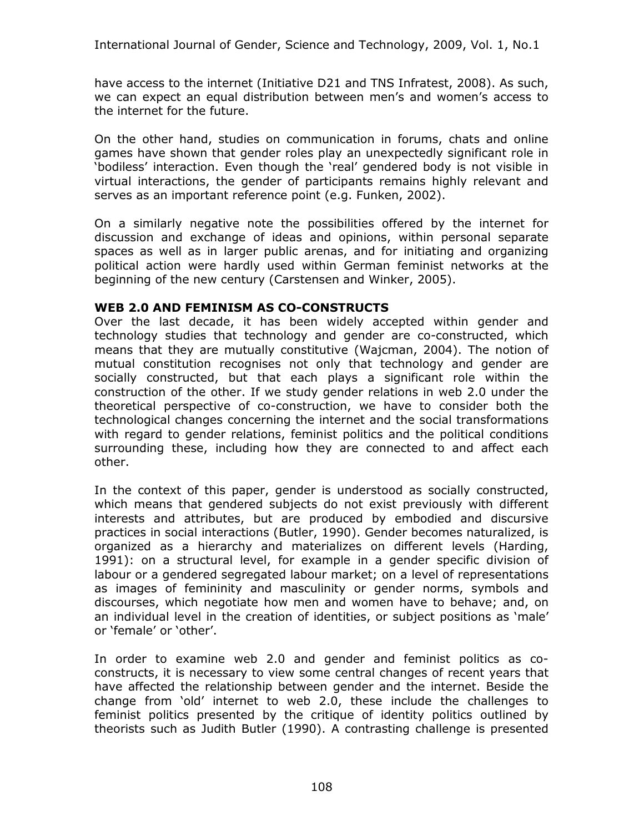have access to the internet (Initiative D21 and TNS Infratest, 2008). As such, we can expect an equal distribution between men's and women's access to the internet for the future.

On the other hand, studies on communication in forums, chats and online games have shown that gender roles play an unexpectedly significant role in 'bodiless' interaction. Even though the 'real' gendered body is not visible in virtual interactions, the gender of participants remains highly relevant and serves as an important reference point (e.g. Funken, 2002).

On a similarly negative note the possibilities offered by the internet for discussion and exchange of ideas and opinions, within personal separate spaces as well as in larger public arenas, and for initiating and organizing political action were hardly used within German feminist networks at the beginning of the new century (Carstensen and Winker, 2005).

## **WEB 2.0 AND FEMINISM AS CO-CONSTRUCTS**

Over the last decade, it has been widely accepted within gender and technology studies that technology and gender are co-constructed, which means that they are mutually constitutive (Wajcman, 2004). The notion of mutual constitution recognises not only that technology and gender are socially constructed, but that each plays a significant role within the construction of the other. If we study gender relations in web 2.0 under the theoretical perspective of co-construction, we have to consider both the technological changes concerning the internet and the social transformations with regard to gender relations, feminist politics and the political conditions surrounding these, including how they are connected to and affect each other.

In the context of this paper, gender is understood as socially constructed, which means that gendered subjects do not exist previously with different interests and attributes, but are produced by embodied and discursive practices in social interactions (Butler, 1990). Gender becomes naturalized, is organized as a hierarchy and materializes on different levels (Harding, 1991): on a structural level, for example in a gender specific division of labour or a gendered segregated labour market; on a level of representations as images of femininity and masculinity or gender norms, symbols and discourses, which negotiate how men and women have to behave; and, on an individual level in the creation of identities, or subject positions as 'male' or 'female' or 'other'.

In order to examine web 2.0 and gender and feminist politics as coconstructs, it is necessary to view some central changes of recent years that have affected the relationship between gender and the internet. Beside the change from 'old' internet to web 2.0, these include the challenges to feminist politics presented by the critique of identity politics outlined by theorists such as Judith Butler (1990). A contrasting challenge is presented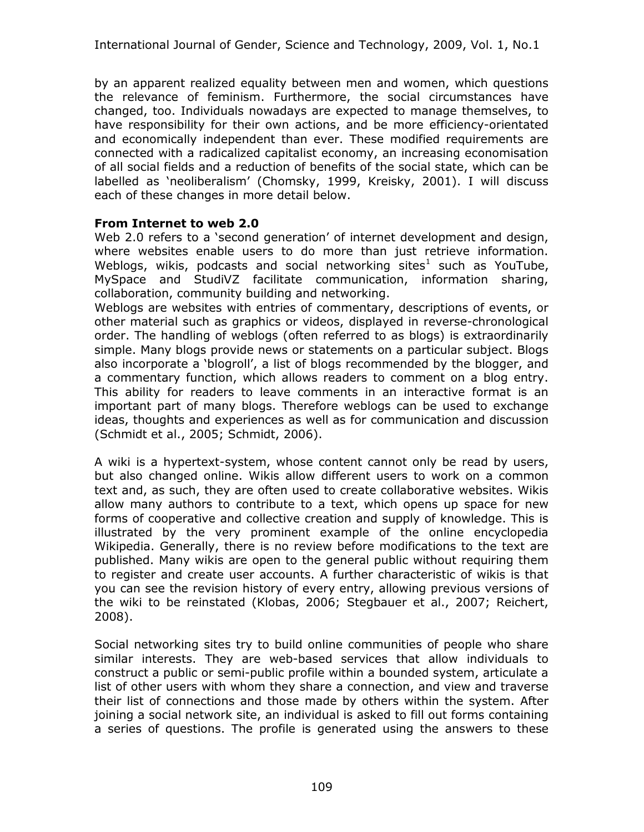by an apparent realized equality between men and women, which questions the relevance of feminism. Furthermore, the social circumstances have changed, too. Individuals nowadays are expected to manage themselves, to have responsibility for their own actions, and be more efficiency-orientated and economically independent than ever. These modified requirements are connected with a radicalized capitalist economy, an increasing economisation of all social fields and a reduction of benefits of the social state, which can be labelled as 'neoliberalism' (Chomsky, 1999, Kreisky, 2001). I will discuss each of these changes in more detail below.

#### **From Internet to web 2.0**

Web 2.0 refers to a 'second generation' of internet development and design, where websites enable users to do more than just retrieve information. Weblogs, wikis, podcasts and social networking sites<sup>[1](#page-16-0)</sup> such as YouTube, MySpace and StudiVZ facilitate communication, information sharing, collaboration, community building and networking.

Weblogs are websites with entries of commentary, descriptions of events, or other material such as graphics or videos, displayed in reverse-chronological order. The handling of weblogs (often referred to as blogs) is extraordinarily simple. Many blogs provide news or statements on a particular subject. Blogs also incorporate a 'blogroll', a list of blogs recommended by the blogger, and a commentary function, which allows readers to comment on a blog entry. This ability for readers to leave comments in an interactive format is an important part of many blogs. Therefore weblogs can be used to exchange ideas, thoughts and experiences as well as for communication and discussion (Schmidt et al., 2005; Schmidt, 2006).

A wiki is a hypertext-system, whose content cannot only be read by users, but also changed online. Wikis allow different users to work on a common text and, as such, they are often used to create collaborative websites. Wikis allow many authors to contribute to a text, which opens up space for new forms of cooperative and collective creation and supply of knowledge. This is illustrated by the very prominent example of the online encyclopedia Wikipedia. Generally, there is no review before modifications to the text are published. Many wikis are open to the general public without requiring them to register and create user accounts. A further characteristic of wikis is that you can see the revision history of every entry, allowing previous versions of the wiki to be reinstated (Klobas, 2006; Stegbauer et al., 2007; Reichert, 2008).

Social networking sites try to build online communities of people who share similar interests. They are web-based services that allow individuals to construct a public or semi-public profile within a bounded system, articulate a list of other users with whom they share a connection, and view and traverse their list of connections and those made by others within the system. After joining a social network site, an individual is asked to fill out forms containing a series of questions. The profile is generated using the answers to these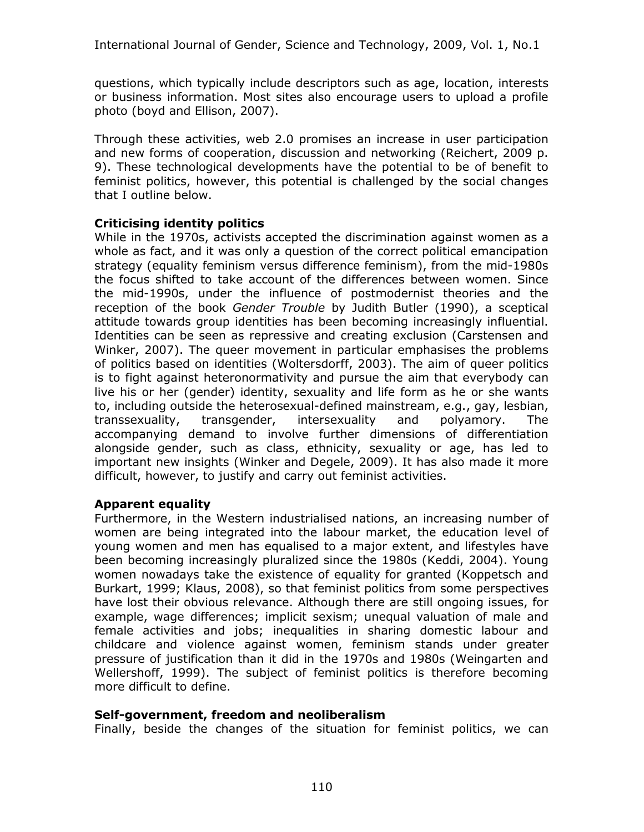questions, which typically include descriptors such as age, location, interests or business information. Most sites also encourage users to upload a profile photo (boyd and Ellison, 2007).

Through these activities, web 2.0 promises an increase in user participation and new forms of cooperation, discussion and networking (Reichert, 2009 p. 9). These technological developments have the potential to be of benefit to feminist politics, however, this potential is challenged by the social changes that I outline below.

## **Criticising identity politics**

While in the 1970s, activists accepted the discrimination against women as a whole as fact, and it was only a question of the correct political emancipation strategy (equality feminism versus difference feminism), from the mid-1980s the focus shifted to take account of the differences between women. Since the mid-1990s, under the influence of postmodernist theories and the reception of the book *Gender Trouble* by Judith Butler (1990), a sceptical attitude towards group identities has been becoming increasingly influential. Identities can be seen as repressive and creating exclusion (Carstensen and Winker, 2007). The queer movement in particular emphasises the problems of politics based on identities (Woltersdorff, 2003). The aim of queer politics is to fight against heteronormativity and pursue the aim that everybody can live his or her (gender) identity, sexuality and life form as he or she wants to, including outside the heterosexual-defined mainstream, e.g., gay, lesbian, transsexuality, transgender, intersexuality and polyamory. The accompanying demand to involve further dimensions of differentiation alongside gender, such as class, ethnicity, sexuality or age, has led to important new insights (Winker and Degele, 2009). It has also made it more difficult, however, to justify and carry out feminist activities.

## **Apparent equality**

Furthermore, in the Western industrialised nations, an increasing number of women are being integrated into the labour market, the education level of young women and men has equalised to a major extent, and lifestyles have been becoming increasingly pluralized since the 1980s (Keddi, 2004). Young women nowadays take the existence of equality for granted (Koppetsch and Burkart, 1999; Klaus, 2008), so that feminist politics from some perspectives have lost their obvious relevance. Although there are still ongoing issues, for example, wage differences; implicit sexism; unequal valuation of male and female activities and jobs; inequalities in sharing domestic labour and childcare and violence against women, feminism stands under greater pressure of justification than it did in the 1970s and 1980s (Weingarten and Wellershoff, 1999). The subject of feminist politics is therefore becoming more difficult to define.

## **Self-government, freedom and neoliberalism**

Finally, beside the changes of the situation for feminist politics, we can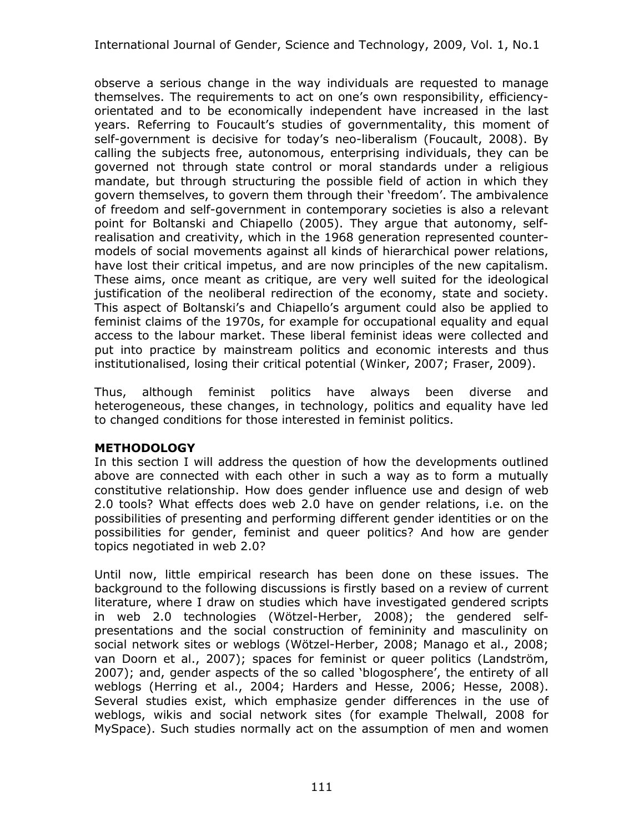observe a serious change in the way individuals are requested to manage themselves. The requirements to act on one's own responsibility, efficiencyorientated and to be economically independent have increased in the last years. Referring to Foucault's studies of governmentality, this moment of self-government is decisive for today's neo-liberalism (Foucault, 2008). By calling the subjects free, autonomous, enterprising individuals, they can be governed not through state control or moral standards under a religious mandate, but through structuring the possible field of action in which they govern themselves, to govern them through their 'freedom'. The ambivalence of freedom and self-government in contemporary societies is also a relevant point for Boltanski and Chiapello (2005). They argue that autonomy, selfrealisation and creativity, which in the 1968 generation represented countermodels of social movements against all kinds of hierarchical power relations, have lost their critical impetus, and are now principles of the new capitalism. These aims, once meant as critique, are very well suited for the ideological justification of the neoliberal redirection of the economy, state and society. This aspect of Boltanski's and Chiapello's argument could also be applied to feminist claims of the 1970s, for example for occupational equality and equal access to the labour market. These liberal feminist ideas were collected and put into practice by mainstream politics and economic interests and thus institutionalised, losing their critical potential (Winker, 2007; Fraser, 2009).

Thus, although feminist politics have always been diverse and heterogeneous, these changes, in technology, politics and equality have led to changed conditions for those interested in feminist politics.

# **METHODOLOGY**

In this section I will address the question of how the developments outlined above are connected with each other in such a way as to form a mutually constitutive relationship. How does gender influence use and design of web 2.0 tools? What effects does web 2.0 have on gender relations, i.e. on the possibilities of presenting and performing different gender identities or on the possibilities for gender, feminist and queer politics? And how are gender topics negotiated in web 2.0?

Until now, little empirical research has been done on these issues. The background to the following discussions is firstly based on a review of current literature, where I draw on studies which have investigated gendered scripts in web 2.0 technologies (Wötzel-Herber, 2008); the gendered selfpresentations and the social construction of femininity and masculinity on social network sites or weblogs (Wötzel-Herber, 2008; Manago et al., 2008; van Doorn et al., 2007); spaces for feminist or queer politics (Landström, 2007); and, gender aspects of the so called 'blogosphere', the entirety of all weblogs (Herring et al., 2004; Harders and Hesse, 2006; Hesse, 2008). Several studies exist, which emphasize gender differences in the use of weblogs, wikis and social network sites (for example Thelwall, 2008 for MySpace). Such studies normally act on the assumption of men and women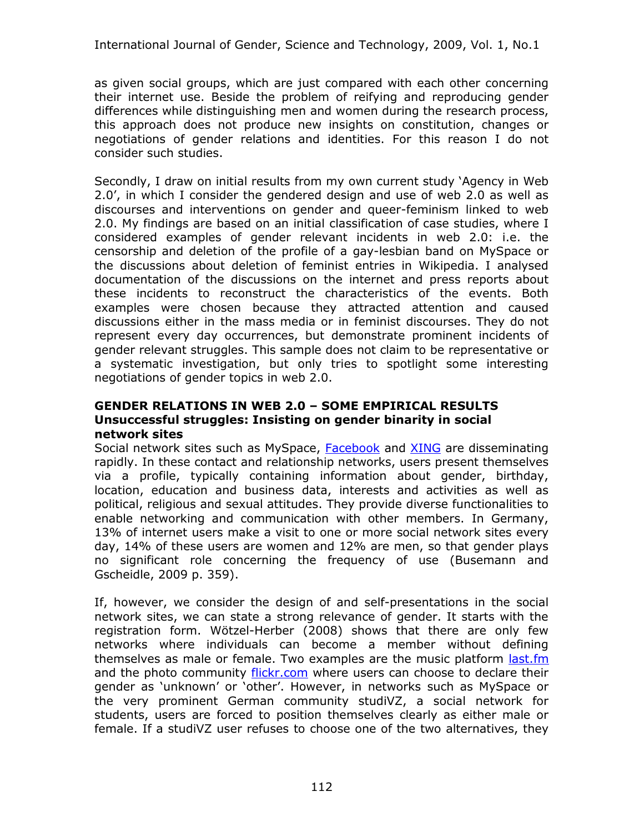as given social groups, which are just compared with each other concerning their internet use. Beside the problem of reifying and reproducing gender differences while distinguishing men and women during the research process, this approach does not produce new insights on constitution, changes or negotiations of gender relations and identities. For this reason I do not consider such studies.

Secondly, I draw on initial results from my own current study 'Agency in Web 2.0', in which I consider the gendered design and use of web 2.0 as well as discourses and interventions on gender and queer-feminism linked to web 2.0. My findings are based on an initial classification of case studies, where I considered examples of gender relevant incidents in web 2.0: i.e. the censorship and deletion of the profile of a gay-lesbian band on MySpace or the discussions about deletion of feminist entries in Wikipedia. I analysed documentation of the discussions on the internet and press reports about these incidents to reconstruct the characteristics of the events. Both examples were chosen because they attracted attention and caused discussions either in the mass media or in feminist discourses. They do not represent every day occurrences, but demonstrate prominent incidents of gender relevant struggles. This sample does not claim to be representative or a systematic investigation, but only tries to spotlight some interesting negotiations of gender topics in web 2.0.

#### **GENDER RELATIONS IN WEB 2.0 – SOME EMPIRICAL RESULTS Unsuccessful struggles: Insisting on gender binarity in social network sites**

Social network sites such as MySpace, [Facebook](http://www.facebook.com/) and [XING](http://www.xing.com/) are disseminating rapidly. In these contact and relationship networks, users present themselves via a profile, typically containing information about gender, birthday, location, education and business data, interests and activities as well as political, religious and sexual attitudes. They provide diverse functionalities to enable networking and communication with other members. In Germany, 13% of internet users make a visit to one or more social network sites every day, 14% of these users are women and 12% are men, so that gender plays no significant role concerning the frequency of use (Busemann and Gscheidle, 2009 p. 359).

If, however, we consider the design of and self-presentations in the social network sites, we can state a strong relevance of gender. It starts with the registration form. Wötzel-Herber (2008) shows that there are only few networks where individuals can become a member without defining themselves as male or female. Two examples are the music platform [last.fm](http://www.lastfm.com/) and the photo community [flickr.com](http://www.flickr.com/) where users can choose to declare their gender as 'unknown' or 'other'. However, in networks such as MySpace or the very prominent German community studiVZ, a social network for students, users are forced to position themselves clearly as either male or female. If a studiVZ user refuses to choose one of the two alternatives, they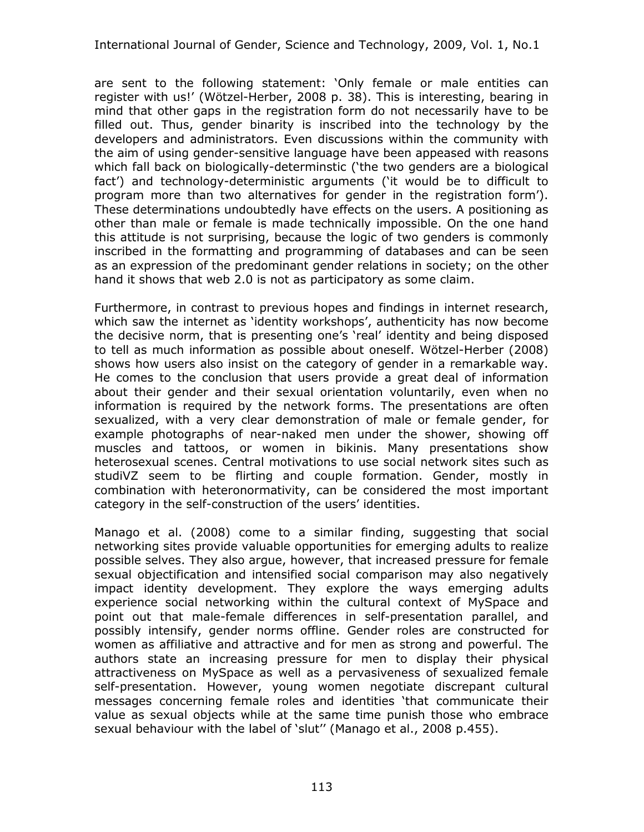are sent to the following statement: 'Only female or male entities can register with us!' (Wötzel-Herber, 2008 p. 38). This is interesting, bearing in mind that other gaps in the registration form do not necessarily have to be filled out. Thus, gender binarity is inscribed into the technology by the developers and administrators. Even discussions within the community with the aim of using gender-sensitive language have been appeased with reasons which fall back on biologically-determinstic ('the two genders are a biological fact') and technology-deterministic arguments ('it would be to difficult to program more than two alternatives for gender in the registration form'). These determinations undoubtedly have effects on the users. A positioning as other than male or female is made technically impossible. On the one hand this attitude is not surprising, because the logic of two genders is commonly inscribed in the formatting and programming of databases and can be seen as an expression of the predominant gender relations in society; on the other hand it shows that web 2.0 is not as participatory as some claim.

Furthermore, in contrast to previous hopes and findings in internet research, which saw the internet as 'identity workshops', authenticity has now become the decisive norm, that is presenting one's 'real' identity and being disposed to tell as much information as possible about oneself. Wötzel-Herber (2008) shows how users also insist on the category of gender in a remarkable way. He comes to the conclusion that users provide a great deal of information about their gender and their sexual orientation voluntarily, even when no information is required by the network forms. The presentations are often sexualized, with a very clear demonstration of male or female gender, for example photographs of near-naked men under the shower, showing off muscles and tattoos, or women in bikinis. Many presentations show heterosexual scenes. Central motivations to use social network sites such as studiVZ seem to be flirting and couple formation. Gender, mostly in combination with heteronormativity, can be considered the most important category in the self-construction of the users' identities.

Manago et al. (2008) come to a similar finding, suggesting that social networking sites provide valuable opportunities for emerging adults to realize possible selves. They also argue, however, that increased pressure for female sexual objectification and intensified social comparison may also negatively impact identity development. They explore the ways emerging adults experience social networking within the cultural context of MySpace and point out that male-female differences in self-presentation parallel, and possibly intensify, gender norms offline. Gender roles are constructed for women as affiliative and attractive and for men as strong and powerful. The authors state an increasing pressure for men to display their physical attractiveness on MySpace as well as a pervasiveness of sexualized female self-presentation. However, young women negotiate discrepant cultural messages concerning female roles and identities 'that communicate their value as sexual objects while at the same time punish those who embrace sexual behaviour with the label of 'slut'' (Manago et al., 2008 p.455).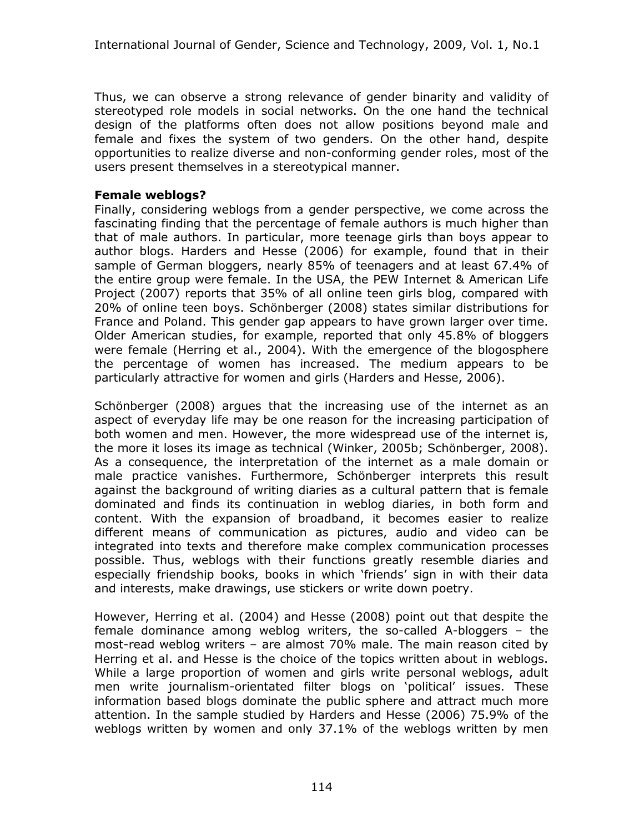Thus, we can observe a strong relevance of gender binarity and validity of stereotyped role models in social networks. On the one hand the technical design of the platforms often does not allow positions beyond male and female and fixes the system of two genders. On the other hand, despite opportunities to realize diverse and non-conforming gender roles, most of the users present themselves in a stereotypical manner.

#### **Female weblogs?**

Finally, considering weblogs from a gender perspective, we come across the fascinating finding that the percentage of female authors is much higher than that of male authors. In particular, more teenage girls than boys appear to author blogs. Harders and Hesse (2006) for example, found that in their sample of German bloggers, nearly 85% of teenagers and at least 67.4% of the entire group were female. In the USA, the PEW Internet & American Life Project (2007) reports that 35% of all online teen girls blog, compared with 20% of online teen boys. Schönberger (2008) states similar distributions for France and Poland. This gender gap appears to have grown larger over time. Older American studies, for example, reported that only 45.8% of bloggers were female (Herring et al., 2004). With the emergence of the blogosphere the percentage of women has increased. The medium appears to be particularly attractive for women and girls (Harders and Hesse, 2006).

Schönberger (2008) argues that the increasing use of the internet as an aspect of everyday life may be one reason for the increasing participation of both women and men. However, the more widespread use of the internet is, the more it loses its image as technical (Winker, 2005b; Schönberger, 2008). As a consequence, the interpretation of the internet as a male domain or male practice vanishes. Furthermore, Schönberger interprets this result against the background of writing diaries as a cultural pattern that is female dominated and finds its continuation in weblog diaries, in both form and content. With the expansion of broadband, it becomes easier to realize different means of communication as pictures, audio and video can be integrated into texts and therefore make complex communication processes possible. Thus, weblogs with their functions greatly resemble diaries and especially friendship books, books in which 'friends' sign in with their data and interests, make drawings, use stickers or write down poetry.

However, Herring et al. (2004) and Hesse (2008) point out that despite the female dominance among weblog writers, the so-called A-bloggers – the most-read weblog writers – are almost 70% male. The main reason cited by Herring et al. and Hesse is the choice of the topics written about in weblogs. While a large proportion of women and girls write personal weblogs, adult men write journalism-orientated filter blogs on 'political' issues. These information based blogs dominate the public sphere and attract much more attention. In the sample studied by Harders and Hesse (2006) 75.9% of the weblogs written by women and only 37.1% of the weblogs written by men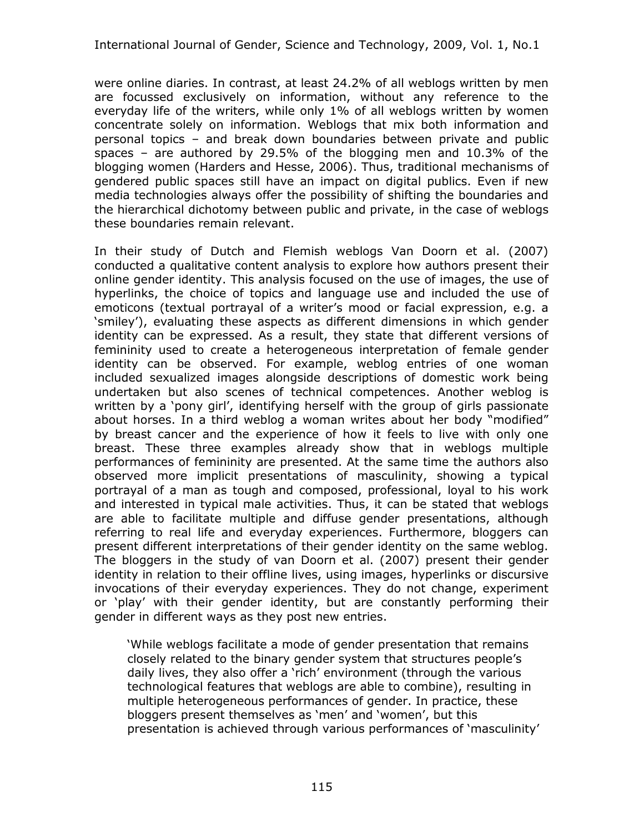were online diaries. In contrast, at least 24.2% of all weblogs written by men are focussed exclusively on information, without any reference to the everyday life of the writers, while only 1% of all weblogs written by women concentrate solely on information. Weblogs that mix both information and personal topics – and break down boundaries between private and public spaces – are authored by 29.5% of the blogging men and 10.3% of the blogging women (Harders and Hesse, 2006). Thus, traditional mechanisms of gendered public spaces still have an impact on digital publics. Even if new media technologies always offer the possibility of shifting the boundaries and the hierarchical dichotomy between public and private, in the case of weblogs these boundaries remain relevant.

In their study of Dutch and Flemish weblogs Van Doorn et al. (2007) conducted a qualitative content analysis to explore how authors present their online gender identity. This analysis focused on the use of images, the use of hyperlinks, the choice of topics and language use and included the use of emoticons (textual portrayal of a writer's mood or facial expression, e.g. a 'smiley'), evaluating these aspects as different dimensions in which gender identity can be expressed. As a result, they state that different versions of femininity used to create a heterogeneous interpretation of female gender identity can be observed. For example, weblog entries of one woman included sexualized images alongside descriptions of domestic work being undertaken but also scenes of technical competences. Another weblog is written by a 'pony girl', identifying herself with the group of girls passionate about horses. In a third weblog a woman writes about her body "modified" by breast cancer and the experience of how it feels to live with only one breast. These three examples already show that in weblogs multiple performances of femininity are presented. At the same time the authors also observed more implicit presentations of masculinity, showing a typical portrayal of a man as tough and composed, professional, loyal to his work and interested in typical male activities. Thus, it can be stated that weblogs are able to facilitate multiple and diffuse gender presentations, although referring to real life and everyday experiences. Furthermore, bloggers can present different interpretations of their gender identity on the same weblog. The bloggers in the study of van Doorn et al. (2007) present their gender identity in relation to their offline lives, using images, hyperlinks or discursive invocations of their everyday experiences. They do not change, experiment or 'play' with their gender identity, but are constantly performing their gender in different ways as they post new entries.

'While weblogs facilitate a mode of gender presentation that remains closely related to the binary gender system that structures people's daily lives, they also offer a 'rich' environment (through the various technological features that weblogs are able to combine), resulting in multiple heterogeneous performances of gender. In practice, these bloggers present themselves as 'men' and 'women', but this presentation is achieved through various performances of 'masculinity'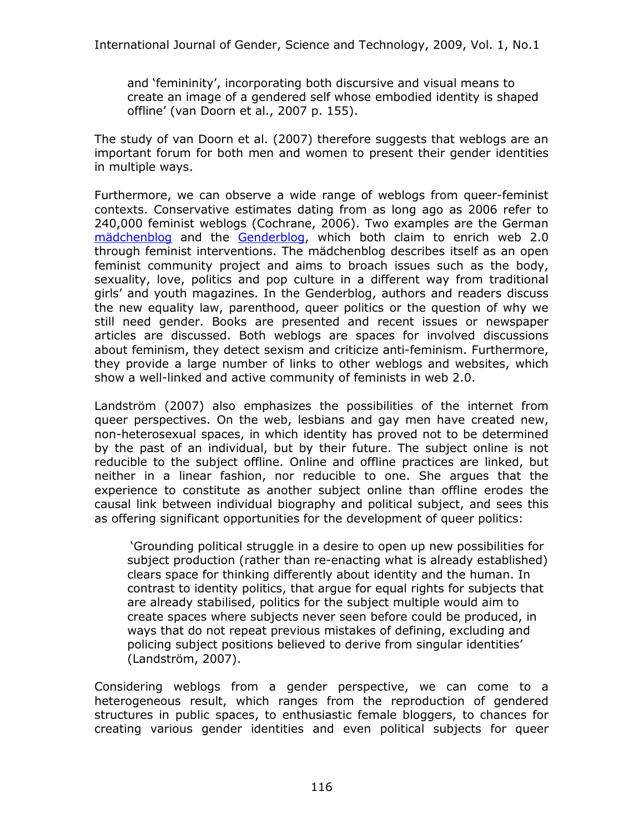and 'femininity', incorporating both discursive and visual means to create an image of a gendered self whose embodied identity is shaped offline' (van Doorn et al., 2007 p. 155).

The study of van Doorn et al. (2007) therefore suggests that weblogs are an important forum for both men and women to present their gender identities in multiple ways.

Furthermore, we can observe a wide range of weblogs from queer-feminist contexts. Conservative estimates dating from as long ago as 2006 refer to 240,000 feminist weblogs (Cochrane, 2006). Two examples are the German [mädchenblog](http://maedchenblog.blogsport.de/) and the [Genderblog,](http://genderblog.de/) which both claim to enrich web 2.0 through feminist interventions. The mädchenblog describes itself as an open feminist community project and aims to broach issues such as the body, sexuality, love, politics and pop culture in a different way from traditional girls' and youth magazines. In the Genderblog, authors and readers discuss the new equality law, parenthood, queer politics or the question of why we still need gender. Books are presented and recent issues or newspaper articles are discussed. Both weblogs are spaces for involved discussions about feminism, they detect sexism and criticize anti-feminism. Furthermore, they provide a large number of links to other weblogs and websites, which show a well-linked and active community of feminists in web 2.0.

Landström (2007) also emphasizes the possibilities of the internet from queer perspectives. On the web, lesbians and gay men have created new, non-heterosexual spaces, in which identity has proved not to be determined by the past of an individual, but by their future. The subject online is not reducible to the subject offline. Online and offline practices are linked, but neither in a linear fashion, nor reducible to one. She argues that the experience to constitute as another subject online than offline erodes the causal link between individual biography and political subject, and sees this as offering significant opportunities for the development of queer politics:

'Grounding political struggle in a desire to open up new possibilities for subject production (rather than re-enacting what is already established) clears space for thinking differently about identity and the human. In contrast to identity politics, that argue for equal rights for subjects that are already stabilised, politics for the subject multiple would aim to create spaces where subjects never seen before could be produced, in ways that do not repeat previous mistakes of defining, excluding and policing subject positions believed to derive from singular identities' (Landström, 2007).

Considering weblogs from a gender perspective, we can come to a heterogeneous result, which ranges from the reproduction of gendered structures in public spaces, to enthusiastic female bloggers, to chances for creating various gender identities and even political subjects for queer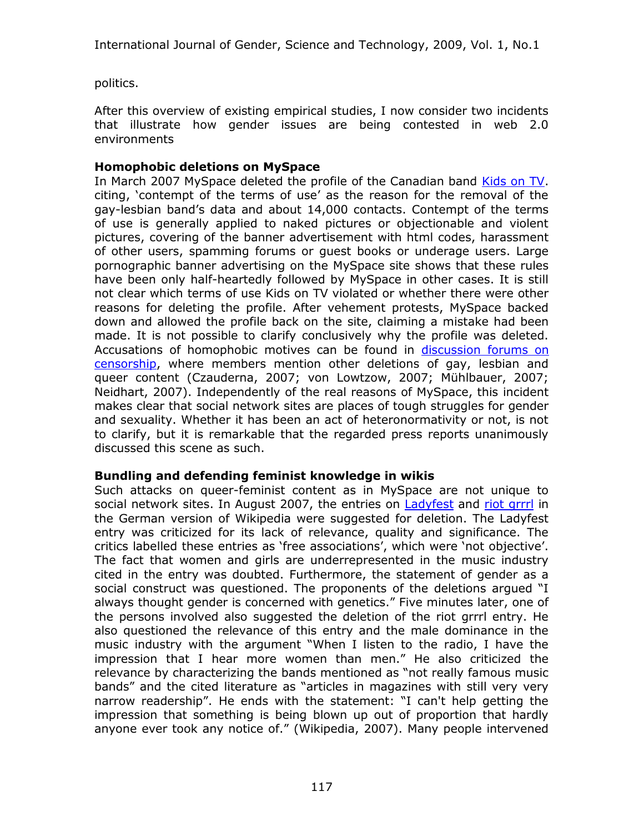politics.

After this overview of existing empirical studies, I now consider two incidents that illustrate how gender issues are being contested in web 2.0 environments

## **Homophobic deletions on MySpace**

In March 2007 MySpace deleted the profile of the Canadian band [Kids on TV](http://www.myspace.com/kidsontv). citing, 'contempt of the terms of use' as the reason for the removal of the gay-lesbian band's data and about 14,000 contacts. Contempt of the terms of use is generally applied to naked pictures or objectionable and violent pictures, covering of the banner advertisement with html codes, harassment of other users, spamming forums or guest books or underage users. Large pornographic banner advertising on the MySpace site shows that these rules have been only half-heartedly followed by MySpace in other cases. It is still not clear which terms of use Kids on TV violated or whether there were other reasons for deleting the profile. After vehement protests, MySpace backed down and allowed the profile back on the site, claiming a mistake had been made. It is not possible to clarify conclusively why the profile was deleted. Accusations of homophobic motives can be found in [discussion forums on](http://blogs.myspace.com/index.cfm?fuseaction=blog.view&friendId=138090927&blogId=246111741) [censorship,](http://blogs.myspace.com/index.cfm?fuseaction=blog.view&friendId=138090927&blogId=246111741) where members mention other deletions of gay, lesbian and queer content (Czauderna, 2007; von Lowtzow, 2007; Mühlbauer, 2007; Neidhart, 2007). Independently of the real reasons of MySpace, this incident makes clear that social network sites are places of tough struggles for gender and sexuality. Whether it has been an act of heteronormativity or not, is not to clarify, but it is remarkable that the regarded press reports unanimously discussed this scene as such.

## **Bundling and defending feminist knowledge in wikis**

Such attacks on queer-feminist content as in MySpace are not unique to social network sites. In August 2007, the entries on [Ladyfest](http://de.wikipedia.org/wiki/Wikipedia:L%C3%B6schkandidaten/5._August_2007#Ladyfest_28bleibt.29) and [riot grrrl](http://de.wikipedia.org/wiki/Wikipedia:L%C3%B6schkandidaten/5._August_2007#Riot_grrrl_.28erledigt.29) in the German version of Wikipedia were suggested for deletion. The Ladyfest entry was criticized for its lack of relevance, quality and significance. The critics labelled these entries as 'free associations', which were 'not objective'. The fact that women and girls are underrepresented in the music industry cited in the entry was doubted. Furthermore, the statement of gender as a social construct was questioned. The proponents of the deletions argued "I always thought gender is concerned with genetics." Five minutes later, one of the persons involved also suggested the deletion of the riot grrrl entry. He also questioned the relevance of this entry and the male dominance in the music industry with the argument "When I listen to the radio, I have the impression that I hear more women than men." He also criticized the relevance by characterizing the bands mentioned as "not really famous music bands" and the cited literature as "articles in magazines with still very very narrow readership". He ends with the statement: "I can't help getting the impression that something is being blown up out of proportion that hardly anyone ever took any notice of." (Wikipedia, 2007). Many people intervened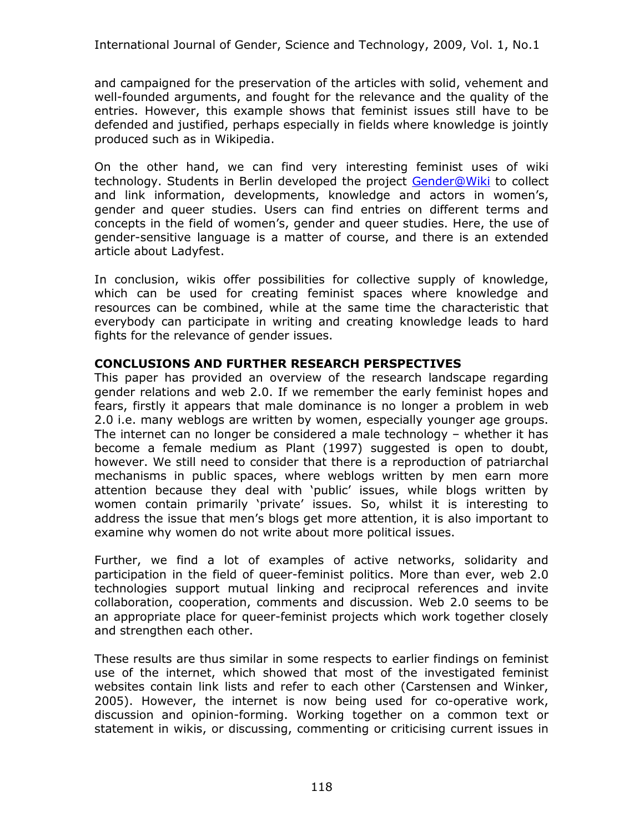and campaigned for the preservation of the articles with solid, vehement and well-founded arguments, and fought for the relevance and the quality of the entries. However, this example shows that feminist issues still have to be defended and justified, perhaps especially in fields where knowledge is jointly produced such as in Wikipedia.

On the other hand, we can find very interesting feminist uses of wiki technology. Students in Berlin developed the project [Gender@Wiki](http://www.genderwiki.de/) to collect and link information, developments, knowledge and actors in women's, gender and queer studies. Users can find entries on different terms and concepts in the field of women's, gender and queer studies. Here, the use of gender-sensitive language is a matter of course, and there is an extended article about Ladyfest.

In conclusion, wikis offer possibilities for collective supply of knowledge, which can be used for creating feminist spaces where knowledge and resources can be combined, while at the same time the characteristic that everybody can participate in writing and creating knowledge leads to hard fights for the relevance of gender issues.

#### **CONCLUSIONS AND FURTHER RESEARCH PERSPECTIVES**

This paper has provided an overview of the research landscape regarding gender relations and web 2.0. If we remember the early feminist hopes and fears, firstly it appears that male dominance is no longer a problem in web 2.0 i.e. many weblogs are written by women, especially younger age groups. The internet can no longer be considered a male technology – whether it has become a female medium as Plant (1997) suggested is open to doubt, however. We still need to consider that there is a reproduction of patriarchal mechanisms in public spaces, where weblogs written by men earn more attention because they deal with 'public' issues, while blogs written by women contain primarily 'private' issues. So, whilst it is interesting to address the issue that men's blogs get more attention, it is also important to examine why women do not write about more political issues.

Further, we find a lot of examples of active networks, solidarity and participation in the field of queer-feminist politics. More than ever, web 2.0 technologies support mutual linking and reciprocal references and invite collaboration, cooperation, comments and discussion. Web 2.0 seems to be an appropriate place for queer-feminist projects which work together closely and strengthen each other.

These results are thus similar in some respects to earlier findings on feminist use of the internet, which showed that most of the investigated feminist websites contain link lists and refer to each other (Carstensen and Winker, 2005). However, the internet is now being used for co-operative work, discussion and opinion-forming. Working together on a common text or statement in wikis, or discussing, commenting or criticising current issues in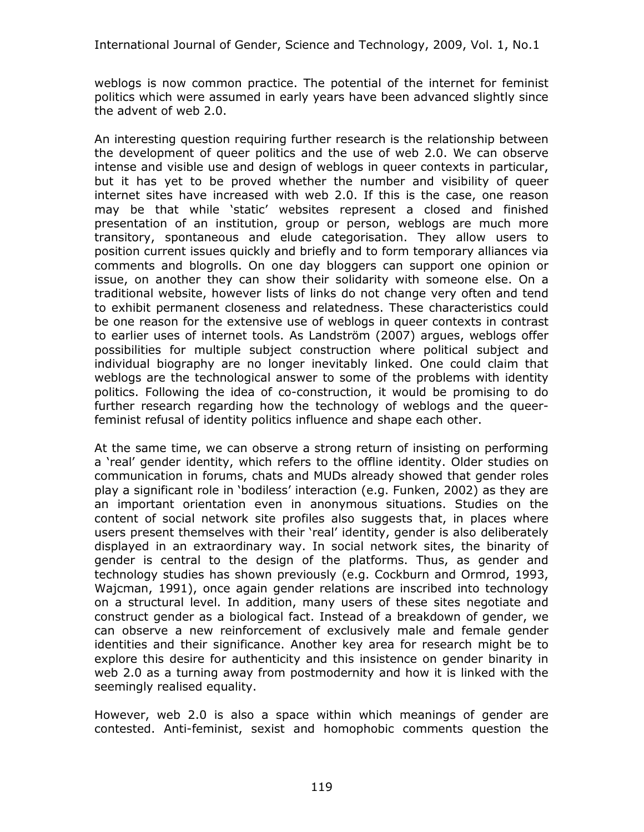weblogs is now common practice. The potential of the internet for feminist politics which were assumed in early years have been advanced slightly since the advent of web 2.0.

An interesting question requiring further research is the relationship between the development of queer politics and the use of web 2.0. We can observe intense and visible use and design of weblogs in queer contexts in particular, but it has yet to be proved whether the number and visibility of queer internet sites have increased with web 2.0. If this is the case, one reason may be that while 'static' websites represent a closed and finished presentation of an institution, group or person, weblogs are much more transitory, spontaneous and elude categorisation. They allow users to position current issues quickly and briefly and to form temporary alliances via comments and blogrolls. On one day bloggers can support one opinion or issue, on another they can show their solidarity with someone else. On a traditional website, however lists of links do not change very often and tend to exhibit permanent closeness and relatedness. These characteristics could be one reason for the extensive use of weblogs in queer contexts in contrast to earlier uses of internet tools. As Landström (2007) argues, weblogs offer possibilities for multiple subject construction where political subject and individual biography are no longer inevitably linked. One could claim that weblogs are the technological answer to some of the problems with identity politics. Following the idea of co-construction, it would be promising to do further research regarding how the technology of weblogs and the queerfeminist refusal of identity politics influence and shape each other.

At the same time, we can observe a strong return of insisting on performing a 'real' gender identity, which refers to the offline identity. Older studies on communication in forums, chats and MUDs already showed that gender roles play a significant role in 'bodiless' interaction (e.g. Funken, 2002) as they are an important orientation even in anonymous situations. Studies on the content of social network site profiles also suggests that, in places where users present themselves with their 'real' identity, gender is also deliberately displayed in an extraordinary way. In social network sites, the binarity of gender is central to the design of the platforms. Thus, as gender and technology studies has shown previously (e.g. Cockburn and Ormrod, 1993, Wajcman, 1991), once again gender relations are inscribed into technology on a structural level. In addition, many users of these sites negotiate and construct gender as a biological fact. Instead of a breakdown of gender, we can observe a new reinforcement of exclusively male and female gender identities and their significance. Another key area for research might be to explore this desire for authenticity and this insistence on gender binarity in web 2.0 as a turning away from postmodernity and how it is linked with the seemingly realised equality.

However, web 2.0 is also a space within which meanings of gender are contested. Anti-feminist, sexist and homophobic comments question the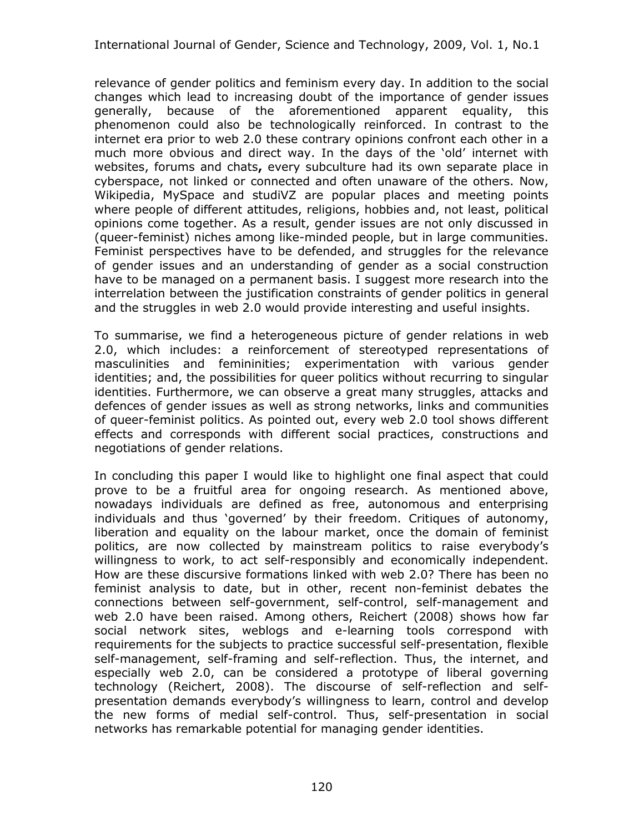relevance of gender politics and feminism every day. In addition to the social changes which lead to increasing doubt of the importance of gender issues generally, because of the aforementioned apparent equality, this phenomenon could also be technologically reinforced. In contrast to the internet era prior to web 2.0 these contrary opinions confront each other in a much more obvious and direct way. In the days of the 'old' internet with websites, forums and chats**,** every subculture had its own separate place in cyberspace, not linked or connected and often unaware of the others. Now, Wikipedia, MySpace and studiVZ are popular places and meeting points where people of different attitudes, religions, hobbies and, not least, political opinions come together. As a result, gender issues are not only discussed in (queer-feminist) niches among like-minded people, but in large communities. Feminist perspectives have to be defended, and struggles for the relevance of gender issues and an understanding of gender as a social construction have to be managed on a permanent basis. I suggest more research into the interrelation between the justification constraints of gender politics in general and the struggles in web 2.0 would provide interesting and useful insights.

To summarise, we find a heterogeneous picture of gender relations in web 2.0, which includes: a reinforcement of stereotyped representations of masculinities and femininities; experimentation with various gender identities; and, the possibilities for queer politics without recurring to singular identities. Furthermore, we can observe a great many struggles, attacks and defences of gender issues as well as strong networks, links and communities of queer-feminist politics. As pointed out, every web 2.0 tool shows different effects and corresponds with different social practices, constructions and negotiations of gender relations.

In concluding this paper I would like to highlight one final aspect that could prove to be a fruitful area for ongoing research. As mentioned above, nowadays individuals are defined as free, autonomous and enterprising individuals and thus 'governed' by their freedom. Critiques of autonomy, liberation and equality on the labour market, once the domain of feminist politics, are now collected by mainstream politics to raise everybody's willingness to work, to act self-responsibly and economically independent. How are these discursive formations linked with web 2.0? There has been no feminist analysis to date, but in other, recent non-feminist debates the connections between self-government, self-control, self-management and web 2.0 have been raised. Among others, Reichert (2008) shows how far social network sites, weblogs and e-learning tools correspond with requirements for the subjects to practice successful self-presentation, flexible self-management, self-framing and self-reflection. Thus, the internet, and especially web 2.0, can be considered a prototype of liberal governing technology (Reichert, 2008). The discourse of self-reflection and selfpresentation demands everybody's willingness to learn, control and develop the new forms of medial self-control. Thus, self-presentation in social networks has remarkable potential for managing gender identities.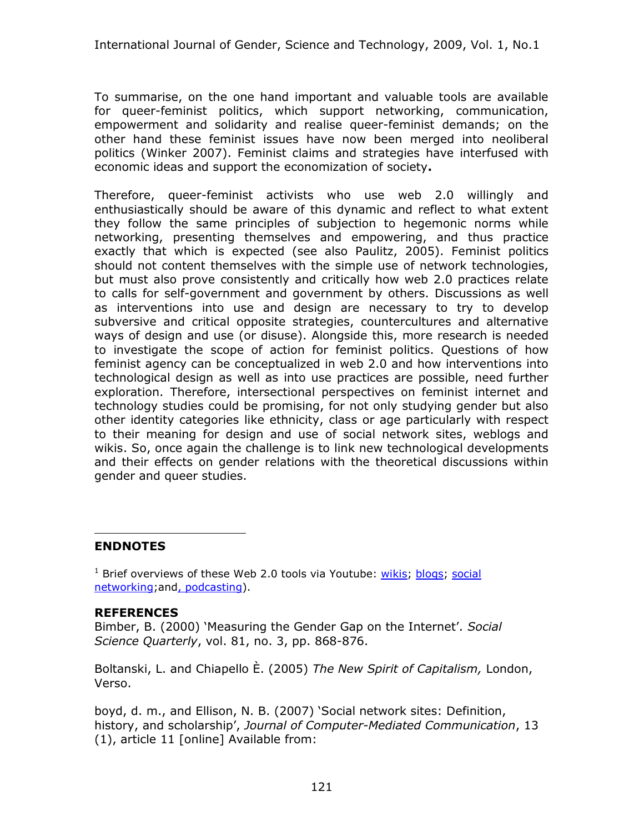To summarise, on the one hand important and valuable tools are available for queer-feminist politics, which support networking, communication, empowerment and solidarity and realise queer-feminist demands; on the other hand these feminist issues have now been merged into neoliberal politics (Winker 2007). Feminist claims and strategies have interfused with economic ideas and support the economization of society**.**

Therefore, queer-feminist activists who use web 2.0 willingly and enthusiastically should be aware of this dynamic and reflect to what extent they follow the same principles of subjection to hegemonic norms while networking, presenting themselves and empowering, and thus practice exactly that which is expected (see also Paulitz, 2005). Feminist politics should not content themselves with the simple use of network technologies, but must also prove consistently and critically how web 2.0 practices relate to calls for self-government and government by others. Discussions as well as interventions into use and design are necessary to try to develop subversive and critical opposite strategies, countercultures and alternative ways of design and use (or disuse). Alongside this, more research is needed to investigate the scope of action for feminist politics. Questions of how feminist agency can be conceptualized in web 2.0 and how interventions into technological design as well as into use practices are possible, need further exploration. Therefore, intersectional perspectives on feminist internet and technology studies could be promising, for not only studying gender but also other identity categories like ethnicity, class or age particularly with respect to their meaning for design and use of social network sites, weblogs and wikis. So, once again the challenge is to link new technological developments and their effects on gender relations with the theoretical discussions within gender and queer studies.

#### <span id="page-16-0"></span>**ENDNOTES**

<sup>1</sup> Brief overviews of these Web 2.0 tools via Youtube: wikis; blogs; social networking;and, podcasting).

#### **REFERENCES**

Bimber, B. (2000) 'Measuring the Gender Gap on the Internet'. *Social Science Quarterly*, vol. 81, no. 3, pp. 868-876.

Boltanski, L. and Chiapello È. (2005) *The New Spirit of Capitalism,* London, Verso.

boyd, d. m., and Ellison, N. B. (2007) 'Social network sites: Definition, history, and scholarship', *Journal of Computer-Mediated Communication*, 13 (1), article 11 [online] Available from: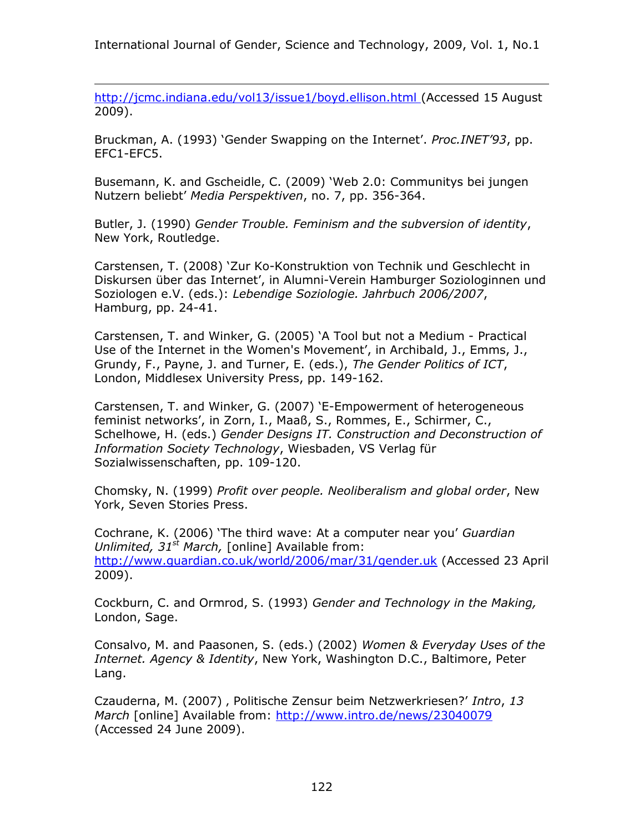http://jcmc.indiana.edu/vol13/issue1/boyd.ellison.html (Accessed 15 August 2009).

Bruckman, A. (1993) 'Gender Swapping on the Internet'. *Proc.INET'93*, pp. EFC1-EFC5.

Busemann, K. and Gscheidle, C. (2009) 'Web 2.0: Communitys bei jungen Nutzern beliebt' *Media Perspektiven*, no. 7, pp. 356-364.

Butler, J. (1990) *Gender Trouble. Feminism and the subversion of identity*, New York, Routledge.

Carstensen, T. (2008) 'Zur Ko-Konstruktion von Technik und Geschlecht in Diskursen über das Internet', in Alumni-Verein Hamburger Soziologinnen und Soziologen e.V. (eds.): *Lebendige Soziologie. Jahrbuch 2006/2007*, Hamburg, pp. 24-41.

Carstensen, T. and Winker, G. (2005) 'A Tool but not a Medium - Practical Use of the Internet in the Women's Movement', in Archibald, J., Emms, J., Grundy, F., Payne, J. and Turner, E. (eds.), *The Gender Politics of ICT*, London, Middlesex University Press, pp. 149-162.

Carstensen, T. and Winker, G. (2007) 'E-Empowerment of heterogeneous feminist networks', in Zorn, I., Maaß, S., Rommes, E., Schirmer, C., Schelhowe, H. (eds.) *Gender Designs IT. Construction and Deconstruction of Information Society Technology*, Wiesbaden, VS Verlag für Sozialwissenschaften, pp. 109-120.

Chomsky, N. (1999) *Profit over people. Neoliberalism and global order*, New York, Seven Stories Press.

Cochrane, K. (2006) 'The third wave: At a computer near you' *Guardian Unlimited, 31st March,* [online] Available from: http://www.guardian.co.uk/world/2006/mar/31/gender.uk (Accessed 23 April 2009).

Cockburn, C. and Ormrod, S. (1993) *Gender and Technology in the Making,* London, Sage.

Consalvo, M. and Paasonen, S. (eds.) (2002) *Women & Everyday Uses of the Internet. Agency & Identity*, New York, Washington D.C., Baltimore, Peter Lang.

Czauderna, M. (2007), Politische Zensur beim Netzwerkriesen?' *Intro*, 13 *March* [online] Available from: http://www.intro.de/news/23040079 (Accessed 24 June 2009).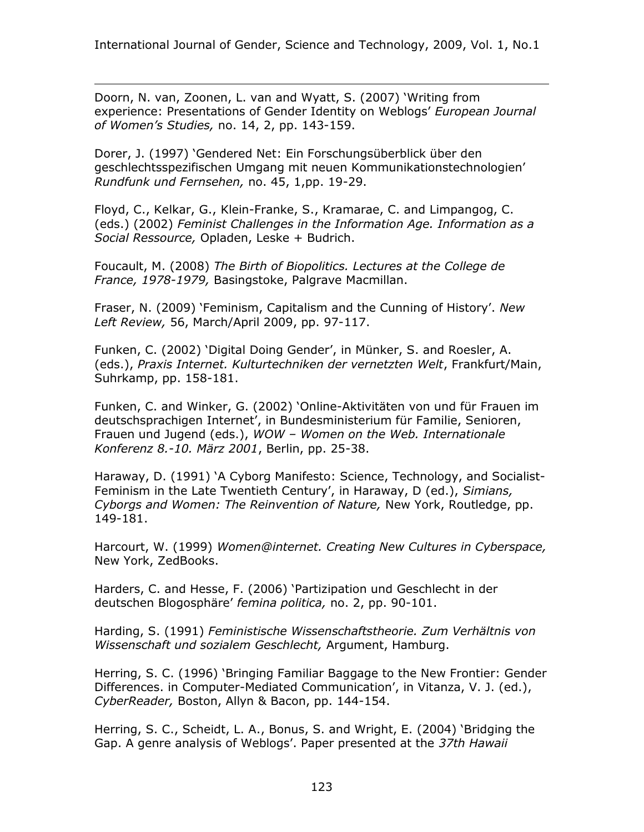Doorn, N. van, Zoonen, L. van and Wyatt, S. (2007) 'Writing from experience: Presentations of Gender Identity on Weblogs' *European Journal of Women's Studies,* no. 14, 2, pp. 143-159.

Dorer, J. (1997) 'Gendered Net: Ein Forschungsüberblick über den geschlechtsspezifischen Umgang mit neuen Kommunikationstechnologien' *Rundfunk und Fernsehen,* no. 45, 1,pp. 19-29.

Floyd, C., Kelkar, G., Klein-Franke, S., Kramarae, C. and Limpangog, C. (eds.) (2002) *Feminist Challenges in the Information Age. Information as a Social Ressource,* Opladen, Leske + Budrich.

Foucault, M. (2008) *The Birth of Biopolitics. Lectures at the College de France, 1978-1979,* Basingstoke, Palgrave Macmillan.

Fraser, N. (2009) 'Feminism, Capitalism and the Cunning of History'. *New Left Review,* 56, March/April 2009, pp. 97-117.

Funken, C. (2002) 'Digital Doing Gender', in Münker, S. and Roesler, A. (eds.), *Praxis Internet. Kulturtechniken der vernetzten Welt*, Frankfurt/Main, Suhrkamp, pp. 158-181.

Funken, C. and Winker, G. (2002) 'Online-Aktivitäten von und für Frauen im deutschsprachigen Internet', in Bundesministerium für Familie, Senioren, Frauen und Jugend (eds.), *WOW – Women on the Web. Internationale Konferenz 8.-10. März 2001*, Berlin, pp. 25-38.

Haraway, D. (1991) 'A Cyborg Manifesto: Science, Technology, and Socialist-Feminism in the Late Twentieth Century', in Haraway, D (ed.), *Simians, Cyborgs and Women: The Reinvention of Nature,* New York, Routledge, pp. 149-181.

Harcourt, W. (1999) *Women@internet. Creating New Cultures in Cyberspace,* New York, ZedBooks.

Harders, C. and Hesse, F. (2006) 'Partizipation und Geschlecht in der deutschen Blogosphäre' *femina politica,* no. 2, pp. 90-101.

Harding, S. (1991) *Feministische Wissenschaftstheorie. Zum Verhältnis von Wissenschaft und sozialem Geschlecht,* Argument, Hamburg.

Herring, S. C. (1996) 'Bringing Familiar Baggage to the New Frontier: Gender Differences. in Computer-Mediated Communication', in Vitanza, V. J. (ed.), *CyberReader,* Boston, Allyn & Bacon, pp. 144-154.

Herring, S. C., Scheidt, L. A., Bonus, S. and Wright, E. (2004) 'Bridging the Gap. A genre analysis of Weblogs'. Paper presented at the *37th Hawaii*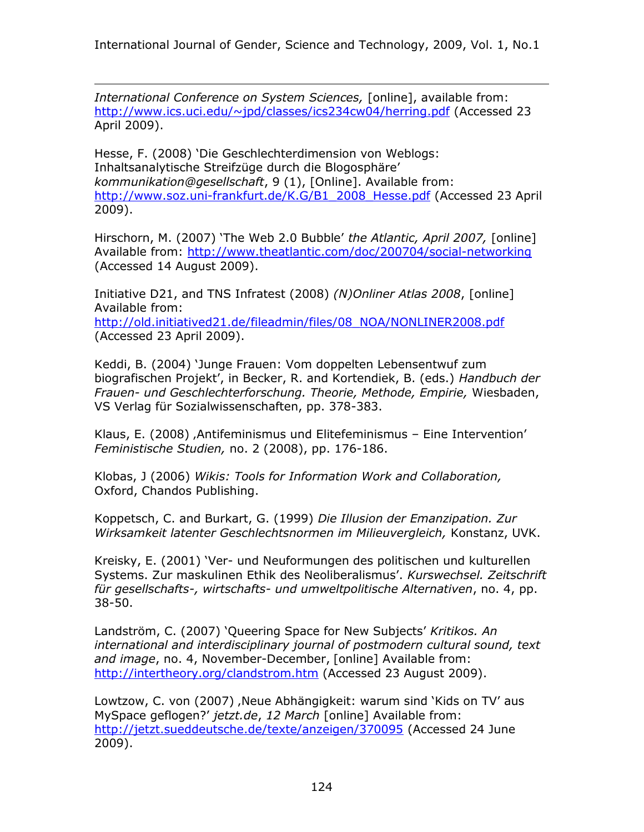*International Conference on System Sciences,* [online], available from: http://www.ics.uci.edu/~jpd/classes/ics234cw04/herring.pdf (Accessed 23 April 2009).

Hesse, F. (2008) 'Die Geschlechterdimension von Weblogs: Inhaltsanalytische Streifzüge durch die Blogosphäre' *kommunikation@gesellschaft*, 9 (1), [Online]. Available from: http://www.soz.uni-frankfurt.de/K.G/B1\_2008\_Hesse.pdf (Accessed 23 April 2009).

Hirschorn, M. (2007) 'The Web 2.0 Bubble' *the Atlantic, April 2007,* [online] Available from: http://www.theatlantic.com/doc/200704/social-networking (Accessed 14 August 2009).

Initiative D21, and TNS Infratest (2008) *(N)Onliner Atlas 2008*, [online] Available from: http://old.initiatived21.de/fileadmin/files/08\_NOA/NONLINER2008.pdf (Accessed 23 April 2009).

Keddi, B. (2004) 'Junge Frauen: Vom doppelten Lebensentwuf zum biografischen Projekt', in Becker, R. and Kortendiek, B. (eds.) *Handbuch der Frauen- und Geschlechterforschung. Theorie, Methode, Empirie,* Wiesbaden, VS Verlag für Sozialwissenschaften, pp. 378-383.

Klaus, E. (2008) , Antifeminismus und Elitefeminismus - Eine Intervention' *Feministische Studien,* no. 2 (2008), pp. 176-186.

Klobas, J (2006) *Wikis: Tools for Information Work and Collaboration,* Oxford, Chandos Publishing.

Koppetsch, C. and Burkart, G. (1999) *Die Illusion der Emanzipation. Zur Wirksamkeit latenter Geschlechtsnormen im Milieuvergleich,* Konstanz, UVK.

Kreisky, E. (2001) 'Ver- und Neuformungen des politischen und kulturellen Systems. Zur maskulinen Ethik des Neoliberalismus'. *Kurswechsel. Zeitschrift für gesellschafts-, wirtschafts- und umweltpolitische Alternativen*, no. 4, pp. 38-50.

Landström, C. (2007) 'Queering Space for New Subjects' *Kritikos. An international and interdisciplinary journal of postmodern cultural sound, text and image*, no. 4, November-December, [online] Available from: http://intertheory.org/clandstrom.htm (Accessed 23 August 2009).

Lowtzow, C. von (2007), Neue Abhängigkeit: warum sind 'Kids on TV' aus MySpace geflogen?' *jetzt.de*, *12 March* [online] Available from: http://jetzt.sueddeutsche.de/texte/anzeigen/370095 (Accessed 24 June 2009).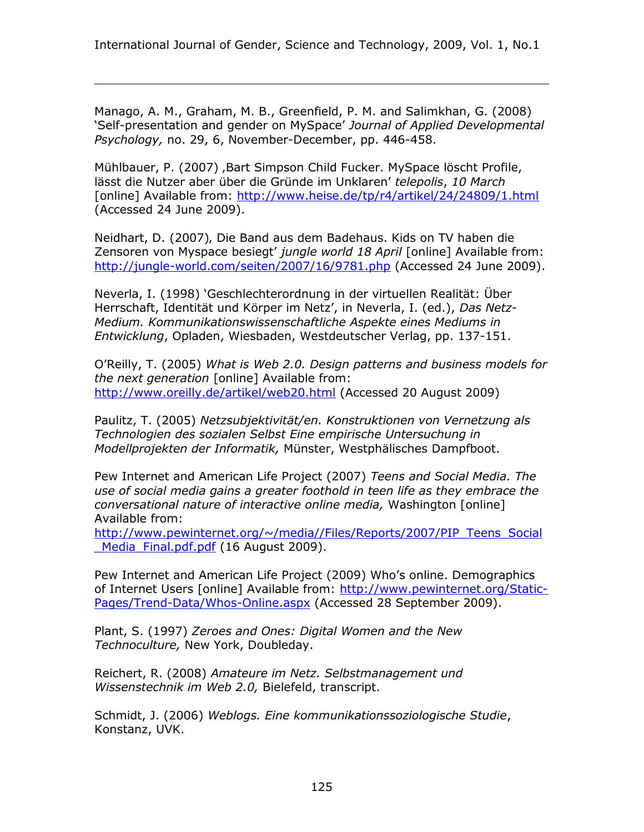Manago, A. M., Graham, M. B., Greenfield, P. M. and Salimkhan, G. (2008) 'Self-presentation and gender on MySpace' *Journal of Applied Developmental Psychology,* no. 29, 6, November-December, pp. 446-458.

Mühlbauer, P. (2007), Bart Simpson Child Fucker. MySpace löscht Profile, lässt die Nutzer aber über die Gründe im Unklaren' *telepolis*, *10 March* [online] Available from: http://www.heise.de/tp/r4/artikel/24/24809/1.html (Accessed 24 June 2009).

Neidhart, D. (2007), Die Band aus dem Badehaus. Kids on TV haben die Zensoren von Myspace besiegt' *jungle world 18 April* [online] Available from: http://jungle-world.com/seiten/2007/16/9781.php (Accessed 24 June 2009).

Neverla, I. (1998) 'Geschlechterordnung in der virtuellen Realität: Über Herrschaft, Identität und Körper im Netz', in Neverla, I. (ed.), *Das Netz-Medium. Kommunikationswissenschaftliche Aspekte eines Mediums in Entwicklung*, Opladen, Wiesbaden, Westdeutscher Verlag, pp. 137-151.

O'Reilly, T. (2005) *What is Web 2.0. Design patterns and business models for the next generation* [online] Available from: http://www.oreilly.de/artikel/web20.html (Accessed 20 August 2009)

Paulitz, T. (2005) *Netzsubjektivität/en. Konstruktionen von Vernetzung als Technologien des sozialen Selbst Eine empirische Untersuchung in Modellprojekten der Informatik,* Münster, Westphälisches Dampfboot.

Pew Internet and American Life Project (2007) *Teens and Social Media. The use of social media gains a greater foothold in teen life as they embrace the conversational nature of interactive online media,* Washington [online] Available from:

http://www.pewinternet.org/~/media//Files/Reports/2007/PIP\_Teens\_Social Media Final.pdf.pdf (16 August 2009).

Pew Internet and American Life Project (2009) Who's online. Demographics of Internet Users [online] Available from: http://www.pewinternet.org/Static-Pages/Trend-Data/Whos-Online.aspx (Accessed 28 September 2009).

Plant, S. (1997) *Zeroes and Ones: Digital Women and the New Technoculture,* New York, Doubleday.

Reichert, R. (2008) *Amateure im Netz. Selbstmanagement und Wissenstechnik im Web 2.0,* Bielefeld, transcript.

Schmidt, J. (2006) *Weblogs. Eine kommunikationssoziologische Studie*, Konstanz, UVK.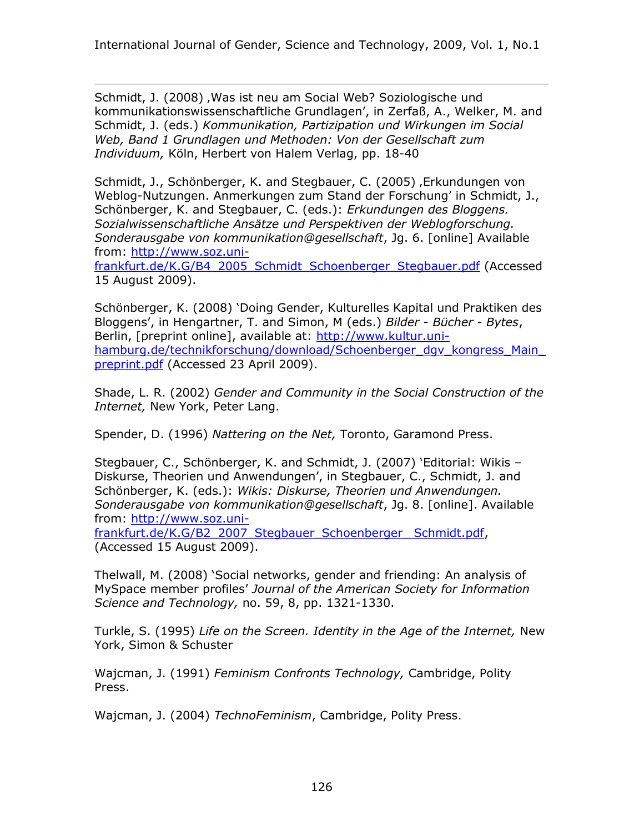Schmidt, J. (2008), Was ist neu am Social Web? Soziologische und kommunikationswissenschaftliche Grundlagen', in Zerfaß, A., Welker, M. and Schmidt, J. (eds.) *Kommunikation, Partizipation und Wirkungen im Social Web, Band 1 Grundlagen und Methoden: Von der Gesellschaft zum Individuum,* Köln, Herbert von Halem Verlag, pp. 18-40

Schmidt, J., Schönberger, K. and Stegbauer, C. (2005), Erkundungen von Weblog-Nutzungen. Anmerkungen zum Stand der Forschung' in Schmidt, J., Schönberger, K. and Stegbauer, C. (eds.): *Erkundungen des Bloggens. Sozialwissenschaftliche Ansätze und Perspektiven der Weblogforschung. Sonderausgabe von kommunikation@gesellschaft*, Jg. 6. [online] Available from: http://www.soz.uni-

frankfurt.de/K.G/B4\_2005\_Schmidt\_Schoenberger\_Stegbauer.pdf (Accessed 15 August 2009).

Schönberger, K. (2008) 'Doing Gender, Kulturelles Kapital und Praktiken des Bloggens', in Hengartner, T. and Simon, M (eds.) *Bilder - Bücher - Bytes*, Berlin, [preprint online], available at: http://www.kultur.unihamburg.de/technikforschung/download/Schoenberger\_dgv\_kongress\_Main preprint.pdf (Accessed 23 April 2009).

Shade, L. R. (2002) *Gender and Community in the Social Construction of the Internet,* New York, Peter Lang.

Spender, D. (1996) *Nattering on the Net,* Toronto, Garamond Press.

Stegbauer, C., Schönberger, K. and Schmidt, J. (2007) 'Editorial: Wikis – Diskurse, Theorien und Anwendungen', in Stegbauer, C., Schmidt, J. and Schönberger, K. (eds.): *Wikis: Diskurse, Theorien und Anwendungen. Sonderausgabe von kommunikation@gesellschaft*, Jg. 8. [online]. Available from: http://www.soz.uni-

frankfurt.de/K.G/B2\_2007\_Stegbauer\_Schoenberger\_ Schmidt.pdf, (Accessed 15 August 2009).

Thelwall, M. (2008) 'Social networks, gender and friending: An analysis of MySpace member profiles' *Journal of the American Society for Information Science and Technology,* no. 59, 8, pp. 1321-1330.

Turkle, S. (1995) *Life on the Screen. Identity in the Age of the Internet,* New York, Simon & Schuster

Wajcman, J. (1991) *Feminism Confronts Technology,* Cambridge, Polity Press.

Wajcman, J. (2004) *TechnoFeminism*, Cambridge, Polity Press.